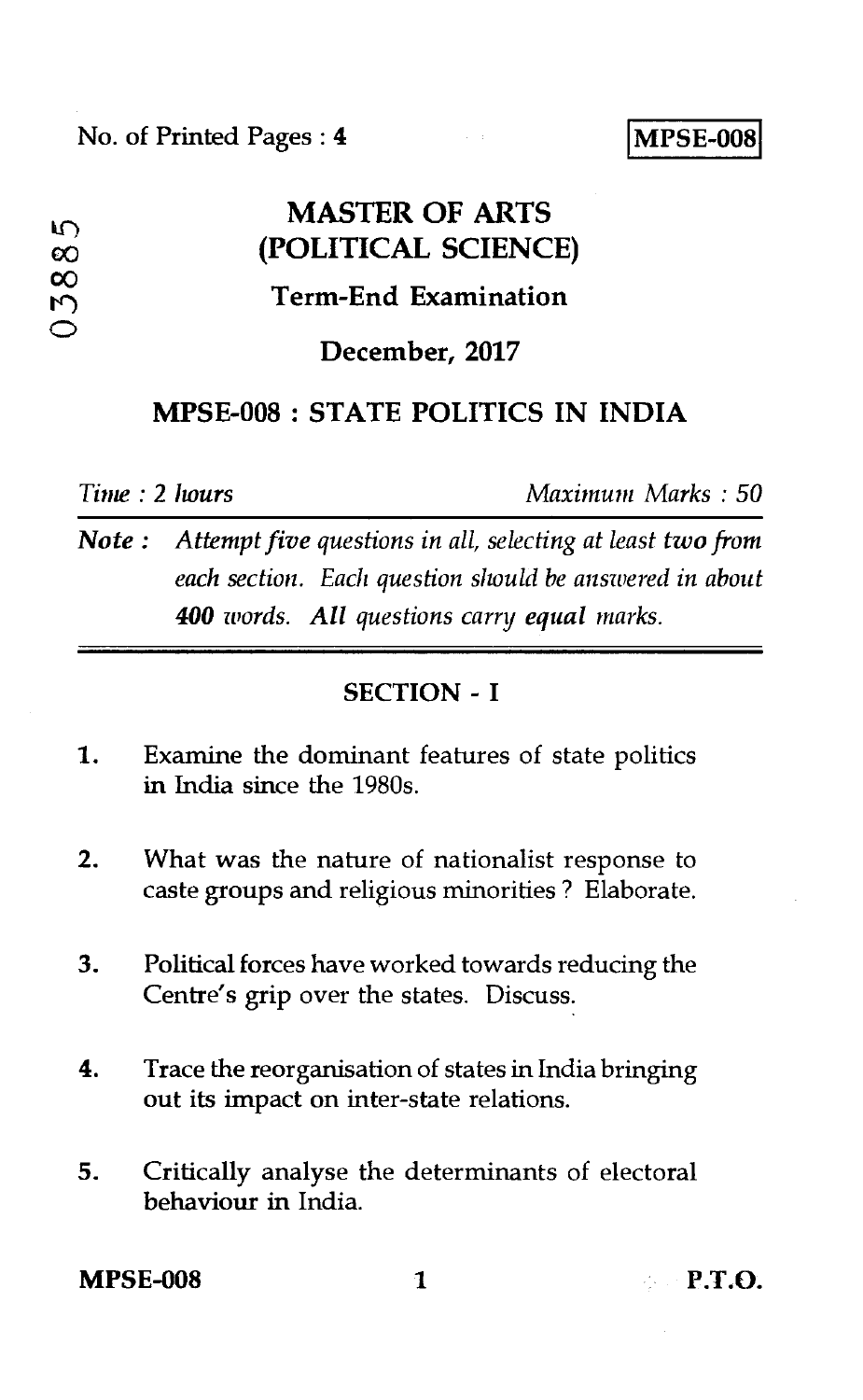## **MASTER OF ARTS co (POLITICAL SCIENCE) 100Term-End Examination** ◯ **December, 2017**

### **MPSE-008 : STATE POLITICS IN INDIA**

*Time : 2 hours Maximum Marks : 50* 

*Note : Attempt five questions in all, selecting at least two from each section. Each question should he answered in about 400 words. All questions carry equal marks.* 

#### **SECTION - I**

- 1. Examine the dominant features of state politics in India since the 1980s.
- 2. What was the nature of nationalist response to caste groups and religious minorities ? Elaborate.
- 3. Political forces have worked towards reducing the Centre's grip over the states. Discuss.
- 4. Trace the reorganisation of states in India bringing out its impact on inter-state relations.
- 5. Critically analyse the determinants of electoral behaviour in India.

**MPSE-008** 1 **P.T.O.**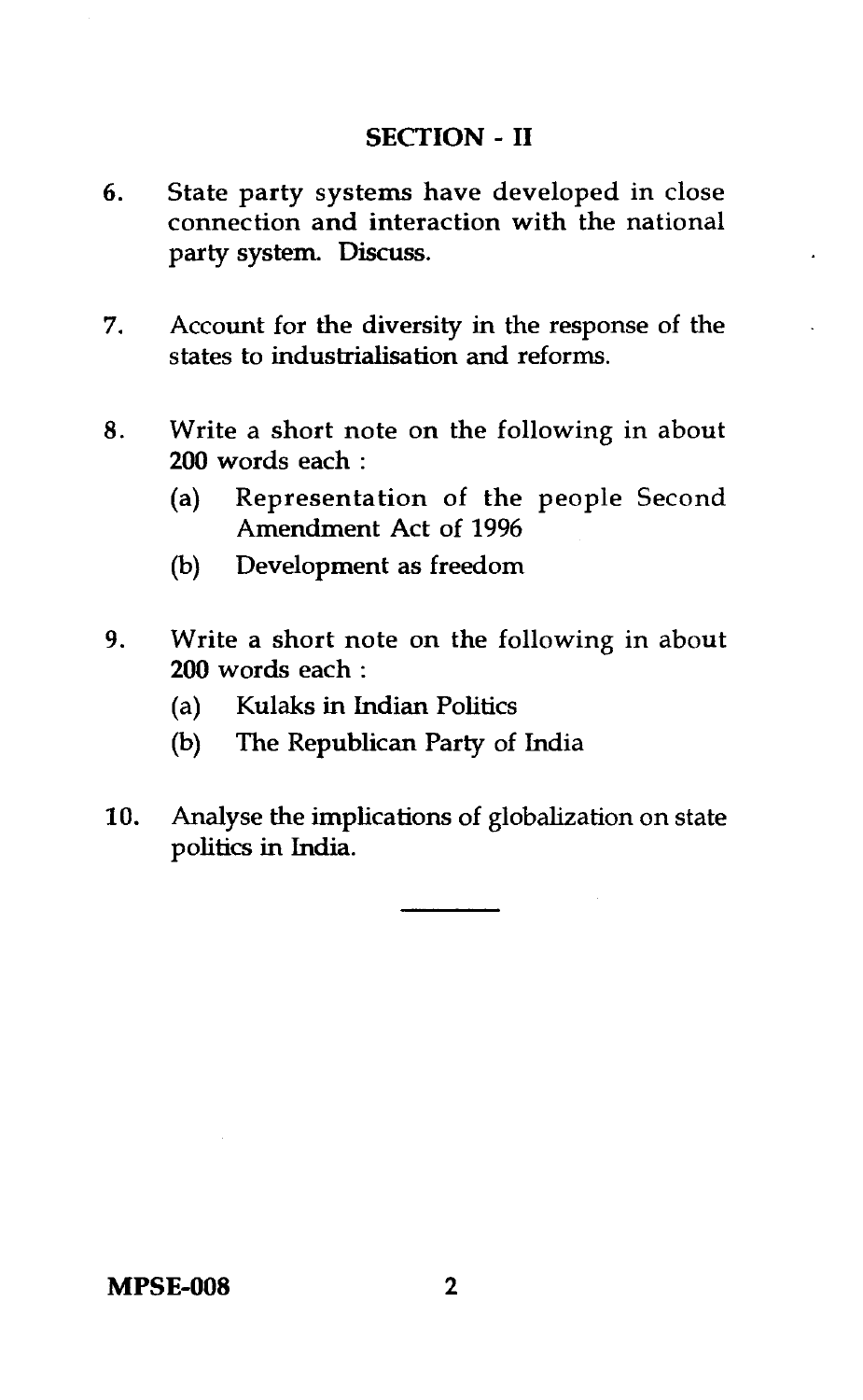#### **SECTION - II**

- 6. State party systems have developed in close connection and interaction with the national party system. Discuss.
- 7. Account for the diversity in the response of the states to industrialisation and reforms.
- 8. Write a short note on the following in about **200** words each :
	- (a) Representation of the people Second Amendment Act of 1996
	- (b) Development as freedom
- 9. Write a short note on the following in about **200** words each :
	- (a) Kulaks in Indian Politics
	- (b) The Republican Party of India
- 10. Analyse the implications of globalization on state politics in India.

**MPSE-008** 2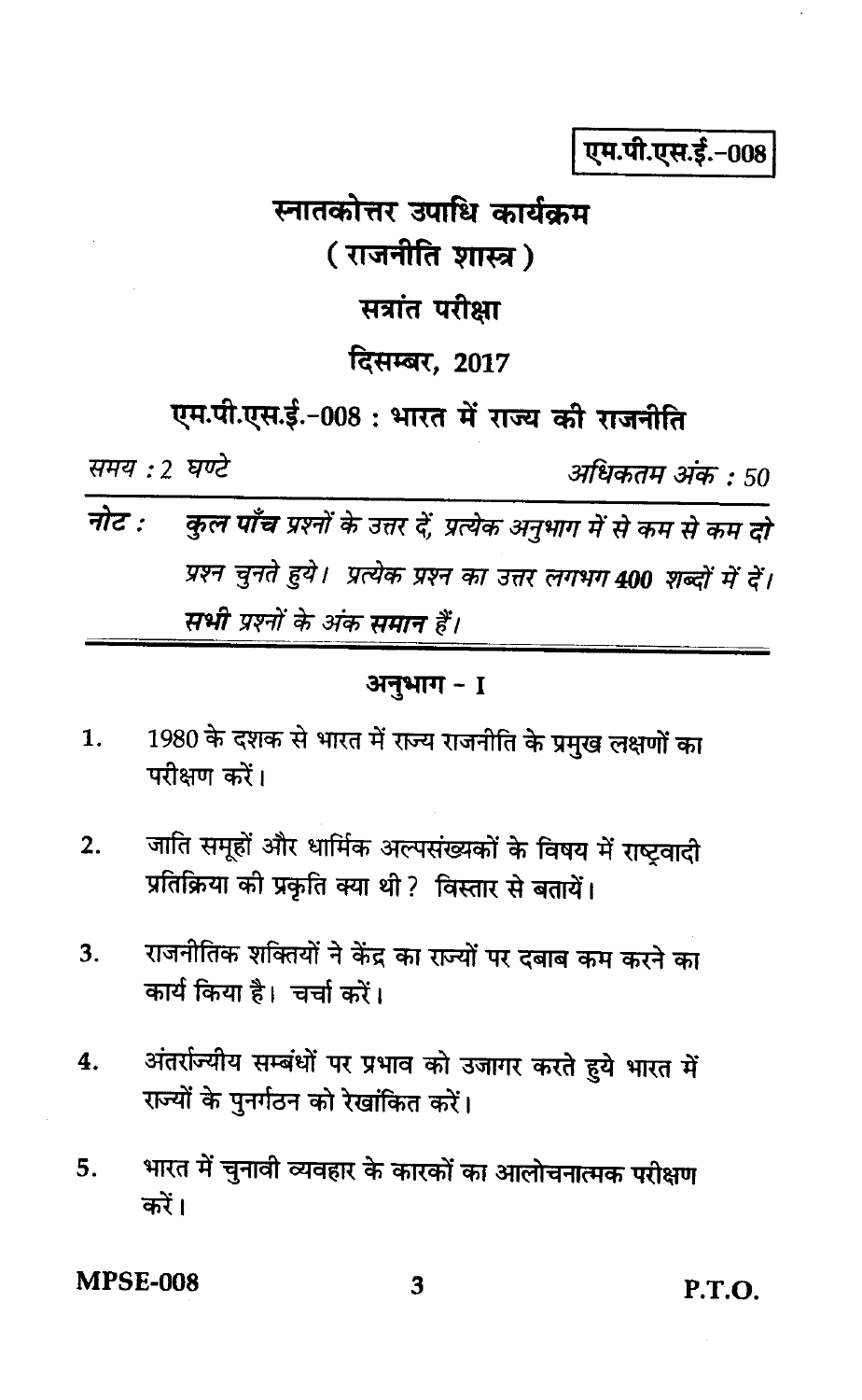एम.पी.एस.ई.-008

# स्नातकोत्तर उपाधि कार्यक्रम ( राजनीति शास्त्र ) सत्रांत परीक्षा दिसम्बर, 2017

एम.पी.एस.ई.-008: भारत में राज्य की राजनीति

समय : 2 घण्टे

अधिकतम् अंक : 50

नोट : कुल पाँच प्रश्नों के उत्तर दें, प्रत्येक अनुभाग में से कम से कम दो प्रश्न चुनते हुये। प्रत्येक प्रश्न का उत्तर लगभग 400 शब्दों में दें। सभी प्रश्नों के अंक समान हैं।

#### अनुभाग - 1

- 1980 के दशक से भारत में राज्य राजनीति के प्रमुख लक्षणों का  $\mathbf{1}$ . परीक्षण करें।
- जाति समूहों और धार्मिक अल्पसंख्यकों के विषय में राष्ट्रवादी  $2.$ प्रतिक्रिया की प्रकृति क्या थी ? विस्तार से बतायें।
- राजनीतिक शक्तियों ने केंद्र का राज्यों पर दबाब कम करने का 3. कार्य किया है। चर्चा करें।
- अंतर्राज्यीय सम्बंधों पर प्रभाव को उजागर करते हुये भारत में 4. राज्यों के पुनर्गठन को रेखांकित करें।
- भारत में चुनावी व्यवहार के कारकों का आलोचनात्मक परीक्षण 5. करें।

MPSE-008

 $P.T.O.$